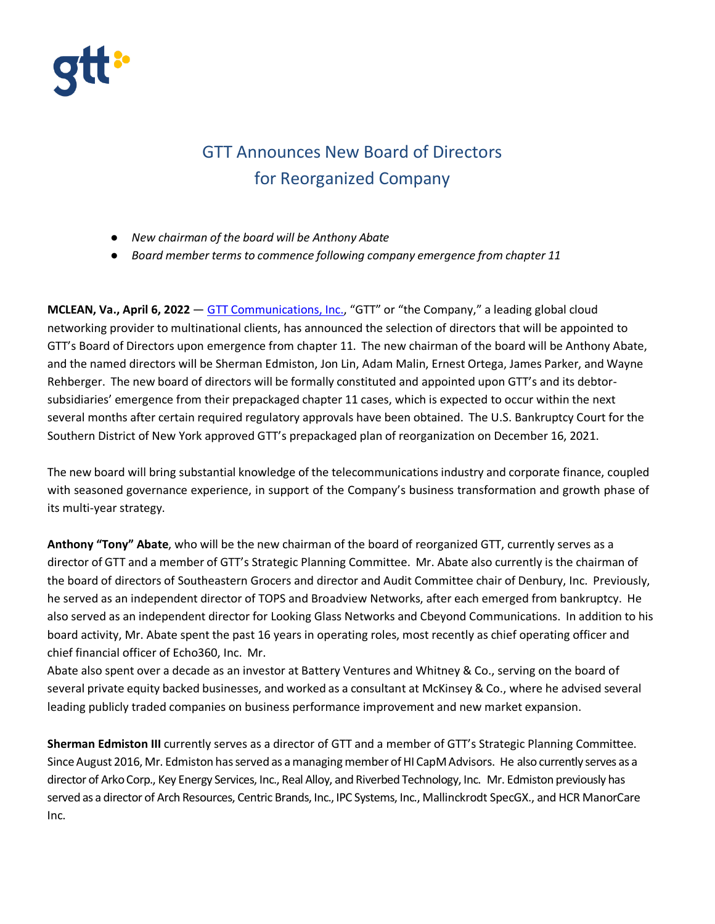

## GTT Announces New Board of Directors for Reorganized Company

- *New chairman of the board will be Anthony Abate*
- *Board member terms to commence following company emergence from chapter 11*

**MCLEAN, Va., April 6, 2022** — [GTT Communications, Inc.,](https://www.gtt.net/) "GTT" or "the Company," a leading global cloud networking provider to multinational clients, has announced the selection of directors that will be appointed to GTT's Board of Directors upon emergence from chapter 11. The new chairman of the board will be Anthony Abate, and the named directors will be Sherman Edmiston, Jon Lin, Adam Malin, Ernest Ortega, James Parker, and Wayne Rehberger. The new board of directors will be formally constituted and appointed upon GTT's and its debtorsubsidiaries' emergence from their prepackaged chapter 11 cases, which is expected to occur within the next several months after certain required regulatory approvals have been obtained. The U.S. Bankruptcy Court for the Southern District of New York approved GTT's prepackaged plan of reorganization on December 16, 2021.

The new board will bring substantial knowledge of the telecommunications industry and corporate finance, coupled with seasoned governance experience, in support of the Company's business transformation and growth phase of its multi-year strategy.

**Anthony "Tony" Abate**, who will be the new chairman of the board of reorganized GTT, currently serves as a director of GTT and a member of GTT's Strategic Planning Committee. Mr. Abate also currently is the chairman of the board of directors of Southeastern Grocers and director and Audit Committee chair of Denbury, Inc. Previously, he served as an independent director of TOPS and Broadview Networks, after each emerged from bankruptcy. He also served as an independent director for Looking Glass Networks and Cbeyond Communications. In addition to his board activity, Mr. Abate spent the past 16 years in operating roles, most recently as chief operating officer and chief financial officer of Echo360, Inc. Mr.

Abate also spent over a decade as an investor at Battery Ventures and Whitney & Co., serving on the board of several private equity backed businesses, and worked as a consultant at McKinsey & Co., where he advised several leading publicly traded companies on business performance improvement and new market expansion.

**Sherman Edmiston III** currently serves as a director of GTT and a member of GTT's Strategic Planning Committee. Since August 2016, Mr. Edmiston has served as a managing member of HI CapM Advisors. He also currently serves as a director of Arko Corp., Key Energy Services, Inc., Real Alloy, and Riverbed Technology, Inc. Mr. Edmiston previously has served as a director of Arch Resources, Centric Brands, Inc., IPC Systems, Inc., Mallinckrodt SpecGX., and HCR ManorCare Inc.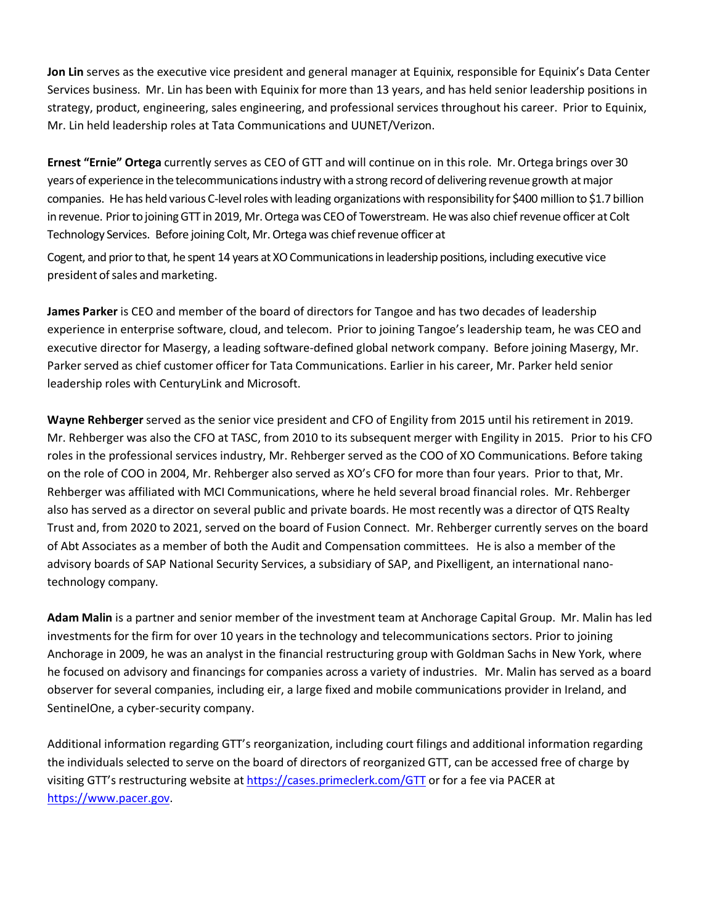**Jon Lin** serves as the executive vice president and general manager at Equinix, responsible for Equinix's Data Center Services business. Mr. Lin has been with Equinix for more than 13 years, and has held senior leadership positions in strategy, product, engineering, sales engineering, and professional services throughout his career. Prior to Equinix, Mr. Lin held leadership roles at Tata Communications and UUNET/Verizon.

**Ernest "Ernie" Ortega** currently serves as CEO of GTT and will continue on in this role. Mr.Ortega brings over 30 years of experience in the telecommunications industry with a strong record of delivering revenue growth at major companies. He has held various C-level roles with leading organizations with responsibility for \$400 million to \$1.7 billion in revenue. Prior to joining GTT in 2019, Mr. Ortega was CEO of Towerstream. He was also chief revenue officer at Colt Technology Services. Before joining Colt, Mr.Ortega was chiefrevenue officer at

Cogent, and prior to that, he spent 14 years at XO Communications in leadership positions, including executive vice president of sales and marketing.

**James Parker** is CEO and member of the board of directors for Tangoe and has two decades of leadership experience in enterprise software, cloud, and telecom. Prior to joining Tangoe's leadership team, he was CEO and executive director for Masergy, a leading software-defined global network company. Before joining Masergy, Mr. Parker served as chief customer officer for Tata Communications. Earlier in his career, Mr. Parker held senior leadership roles with CenturyLink and Microsoft.

**Wayne Rehberger** served as the senior vice president and CFO of Engility from 2015 until his retirement in 2019. Mr. Rehberger was also the CFO at TASC, from 2010 to its subsequent merger with Engility in 2015. Prior to his CFO roles in the professional services industry, Mr. Rehberger served as the COO of XO Communications. Before taking on the role of COO in 2004, Mr. Rehberger also served as XO's CFO for more than four years. Prior to that, Mr. Rehberger was affiliated with MCI Communications, where he held several broad financial roles. Mr. Rehberger also has served as a director on several public and private boards. He most recently was a director of QTS Realty Trust and, from 2020 to 2021, served on the board of Fusion Connect. Mr. Rehberger currently serves on the board of Abt Associates as a member of both the Audit and Compensation committees. He is also a member of the advisory boards of SAP National Security Services, a subsidiary of SAP, and Pixelligent, an international nanotechnology company.

**Adam Malin** is a partner and senior member of the investment team at Anchorage Capital Group. Mr. Malin has led investments for the firm for over 10 years in the technology and telecommunications sectors. Prior to joining Anchorage in 2009, he was an analyst in the financial restructuring group with Goldman Sachs in New York, where he focused on advisory and financings for companies across a variety of industries. Mr. Malin has served as a board observer for several companies, including eir, a large fixed and mobile communications provider in Ireland, and SentinelOne, a cyber-security company.

Additional information regarding GTT's reorganization, including court filings and additional information regarding the individuals selected to serve on the board of directors of reorganized GTT, can be accessed free of charge by visiting GTT's restructuring website a[t https://cases.primeclerk.com/GTT](https://cases.primeclerk.com/GTT) or for a fee via PACER at [https://www.pacer.gov.](https://www.pacer.gov/)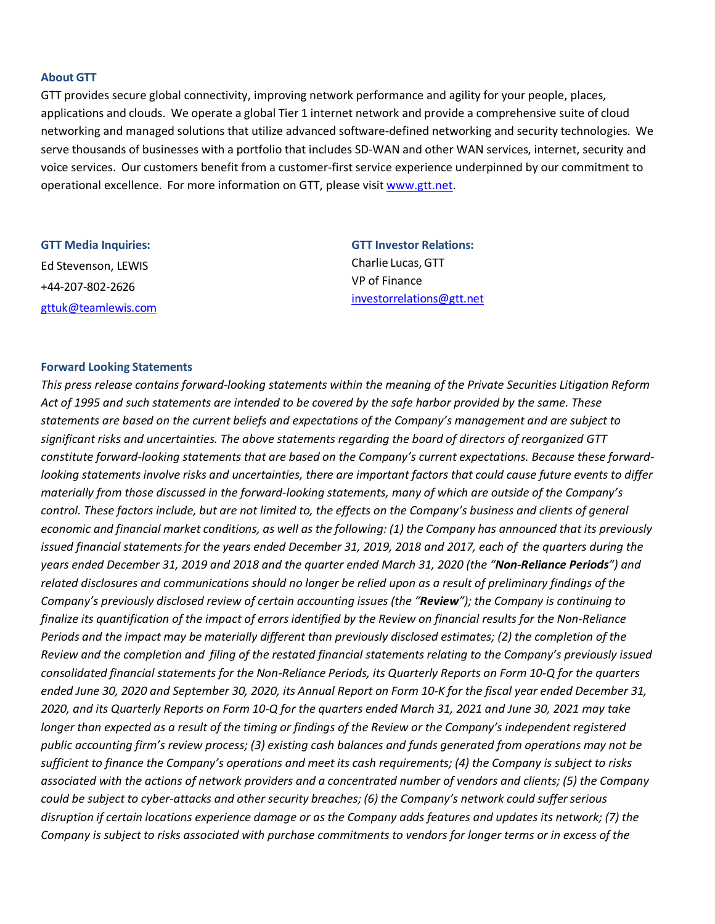## **About GTT**

GTT provides secure global connectivity, improving network performance and agility for your people, places, applications and clouds. We operate a global Tier 1 internet network and provide a comprehensive suite of cloud networking and managed solutions that utilize advanced software-defined networking and security technologies. We serve thousands of businesses with a portfolio that includes SD-WAN and other WAN services, internet, security and voice services. Our customers benefit from a customer-first service experience underpinned by our commitment to operational excellence. For more information on GTT, please visit [www.gtt.net.](http://www.gtt.net/)

| <b>GTT Media Inquiries:</b> |
|-----------------------------|
| Ed Stevenson, LEWIS         |
| +44-207-802-2626            |
| gttuk@teamlewis.com         |

**GTT Investor Relations:** Charlie Lucas, GTT VP of Finance [investorrelations@gtt.net](mailto:investorrelations@gtt.net)

## **Forward Looking Statements**

*This press release contains forward-looking statements within the meaning of the Private Securities Litigation Reform Act of 1995 and such statements are intended to be covered by the safe harbor provided by the same. These statements are based on the current beliefs and expectations of the Company's management and are subject to significant risks and uncertainties. The above statements regarding the board of directors of reorganized GTT constitute forward-looking statements that are based on the Company's current expectations. Because these forwardlooking statements involve risks and uncertainties, there are important factors that could cause future events to differ materially from those discussed in the forward-looking statements, many of which are outside of the Company's control. These factors include, but are not limited to, the effects on the Company's business and clients of general*  economic and financial market conditions, as well as the following: (1) the Company has announced that its previously *issued financial statements for the years ended December 31, 2019, 2018 and 2017, each of the quarters during the years ended December 31, 2019 and 2018 and the quarter ended March 31, 2020 (the "Non-Reliance Periods") and related disclosures and communications should no longer be relied upon as a result of preliminary findings of the Company's previously disclosed review of certain accounting issues (the "Review"); the Company is continuing to finalize its quantification of the impact of errors identified by the Review on financial results for the Non-Reliance Periods and the impact may be materially different than previously disclosed estimates; (2) the completion of the Review and the completion and filing of the restated financial statements relating to the Company's previously issued consolidated financial statements for the Non-Reliance Periods, its Quarterly Reports on Form 10-Q for the quarters ended June 30, 2020 and September 30, 2020, its Annual Report on Form 10-K for the fiscal year ended December 31, 2020, and its Quarterly Reports on Form 10-Q for the quarters ended March 31, 2021 and June 30, 2021 may take longer than expected as a result of the timing or findings of the Review or the Company's independent registered public accounting firm's review process; (3) existing cash balances and funds generated from operations may not be sufficient to finance the Company's operations and meet its cash requirements; (4) the Company is subject to risks associated with the actions of network providers and a concentrated number of vendors and clients; (5) the Company could be subject to cyber-attacks and other security breaches; (6) the Company's network could suffer serious disruption if certain locations experience damage or as the Company adds features and updates its network; (7) the Company is subject to risks associated with purchase commitments to vendors for longer terms or in excess of the*